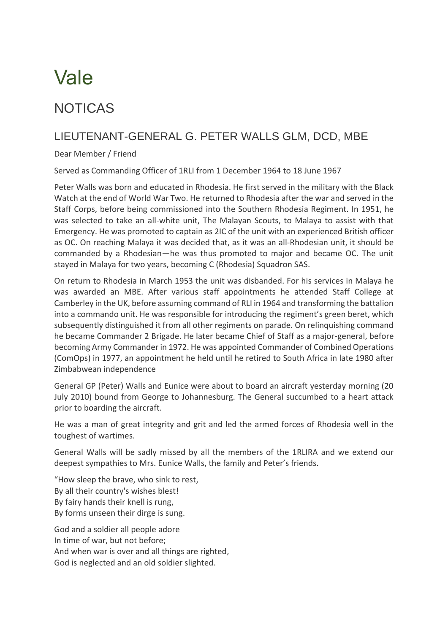## Vale

## NOTICAS

## LIEUTENANT-GENERAL G. PETER WALLS GLM, DCD, MBE

Dear Member / Friend

Served as Commanding Officer of 1RLI from 1 December 1964 to 18 June 1967

Peter Walls was born and educated in Rhodesia. He first served in the military with the Black Watch at the end of World War Two. He returned to Rhodesia after the war and served in the Staff Corps, before being commissioned into the Southern Rhodesia Regiment. In 1951, he was selected to take an all-white unit, The Malayan Scouts, to Malaya to assist with that Emergency. He was promoted to captain as 2IC of the unit with an experienced British officer as OC. On reaching Malaya it was decided that, as it was an all-Rhodesian unit, it should be commanded by a Rhodesian—he was thus promoted to major and became OC. The unit stayed in Malaya for two years, becoming C (Rhodesia) Squadron SAS.

On return to Rhodesia in March 1953 the unit was disbanded. For his services in Malaya he was awarded an MBE. After various staff appointments he attended Staff College at Camberley in the UK, before assuming command of RLI in 1964 and transforming the battalion into a commando unit. He was responsible for introducing the regiment's green beret, which subsequently distinguished it from all other regiments on parade. On relinquishing command he became Commander 2 Brigade. He later became Chief of Staff as a major-general, before becoming Army Commander in 1972. He was appointed Commander of Combined Operations (ComOps) in 1977, an appointment he held until he retired to South Africa in late 1980 after Zimbabwean independence

General GP (Peter) Walls and Eunice were about to board an aircraft yesterday morning (20 July 2010) bound from George to Johannesburg. The General succumbed to a heart attack prior to boarding the aircraft.

He was a man of great integrity and grit and led the armed forces of Rhodesia well in the toughest of wartimes.

General Walls will be sadly missed by all the members of the 1RLIRA and we extend our deepest sympathies to Mrs. Eunice Walls, the family and Peter's friends.

"How sleep the brave, who sink to rest, By all their country's wishes blest! By fairy hands their knell is rung, By forms unseen their dirge is sung.

God and a soldier all people adore In time of war, but not before; And when war is over and all things are righted, God is neglected and an old soldier slighted.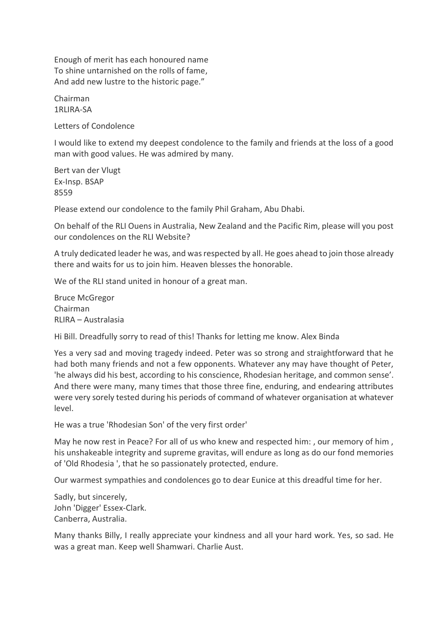Enough of merit has each honoured name To shine untarnished on the rolls of fame, And add new lustre to the historic page."

Chairman 1RLIRA-SA

Letters of Condolence

I would like to extend my deepest condolence to the family and friends at the loss of a good man with good values. He was admired by many.

Bert van der Vlugt Ex-Insp. BSAP 8559

Please extend our condolence to the family Phil Graham, Abu Dhabi.

On behalf of the RLI Ouens in Australia, New Zealand and the Pacific Rim, please will you post our condolences on the RLI Website?

A truly dedicated leader he was, and was respected by all. He goes ahead to join those already there and waits for us to join him. Heaven blesses the honorable.

We of the RLI stand united in honour of a great man.

Bruce McGregor Chairman RLIRA – Australasia

Hi Bill. Dreadfully sorry to read of this! Thanks for letting me know. Alex Binda

Yes a very sad and moving tragedy indeed. Peter was so strong and straightforward that he had both many friends and not a few opponents. Whatever any may have thought of Peter, 'he always did his best, according to his conscience, Rhodesian heritage, and common sense'. And there were many, many times that those three fine, enduring, and endearing attributes were very sorely tested during his periods of command of whatever organisation at whatever level.

He was a true 'Rhodesian Son' of the very first order'

May he now rest in Peace? For all of us who knew and respected him: , our memory of him , his unshakeable integrity and supreme gravitas, will endure as long as do our fond memories of 'Old Rhodesia ', that he so passionately protected, endure.

Our warmest sympathies and condolences go to dear Eunice at this dreadful time for her.

Sadly, but sincerely, John 'Digger' Essex-Clark. Canberra, Australia.

Many thanks Billy, I really appreciate your kindness and all your hard work. Yes, so sad. He was a great man. Keep well Shamwari. Charlie Aust.